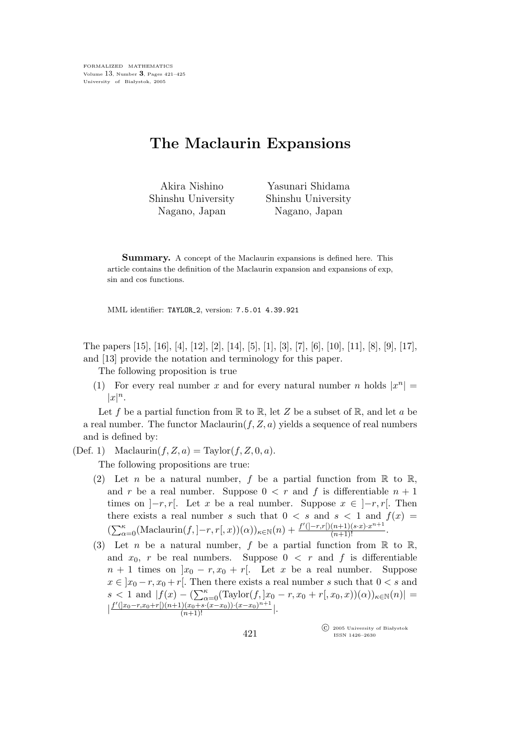## The Maclaurin Expansions

Akira Nishino Shinshu University Nagano, Japan

Yasunari Shidama Shinshu University Nagano, Japan

Summary. A concept of the Maclaurin expansions is defined here. This article contains the definition of the Maclaurin expansion and expansions of exp, sin and cos functions.

MML identifier: TAYLOR 2, version: 7.5.01 4.39.921

The papers [15], [16], [4], [12], [2], [14], [5], [1], [3], [7], [6], [10], [11], [8], [9], [17], and [13] provide the notation and terminology for this paper.

The following proposition is true

(1) For every real number x and for every natural number n holds  $|x^n|$  =  $|x|^n.$ 

Let f be a partial function from  $\mathbb R$  to  $\mathbb R$ , let Z be a subset of  $\mathbb R$ , and let a be a real number. The functor Maclaurin $(f, Z, a)$  yields a sequence of real numbers and is defined by:

(Def. 1) Maclaurin $(f, Z, a) = \text{Taylor}(f, Z, 0, a)$ .

The following propositions are true:

- (2) Let *n* be a natural number, f be a partial function from  $\mathbb R$  to  $\mathbb R$ , and r be a real number. Suppose  $0 < r$  and f is differentiable  $n + 1$ times on  $|-r, r|$ . Let x be a real number. Suppose  $x \in |-r, r|$ . Then there exists a real number s such that  $0 < s$  and  $s < 1$  and  $f(x) =$  $(\sum_{\alpha=0}^{\kappa} ( \text{Maclaurin}(f, ]-r, r[, x))(\alpha))_{\kappa \in \mathbb{N}}(n) + \frac{f'(|-r,r[)(n+1)(s\cdot x)\cdot x^{n+1}}{(n+1)!}.$
- (3) Let *n* be a natural number, f be a partial function from  $\mathbb R$  to  $\mathbb R$ , and  $x_0$ , r be real numbers. Suppose  $0 \lt r$  and f is differentiable  $n + 1$  times on  $|x_0 - r, x_0 + r|$ . Let x be a real number. Suppose  $x \in [x_0 - r, x_0 + r]$ . Then there exists a real number s such that  $0 < s$  and s < 1 and  $|f(x) - (\sum_{\alpha=0}^{\kappa} (Taylor(f, |x_0 - r, x_0 + r(x_0, x))(\alpha))_{\kappa \in \mathbb{N}}(n)| =$  $\left| \frac{f'(x_0-r,x_0+r\left[)(n+1)(x_0+s\cdot(x-x_0))\cdot(x-x_0)^{n+1}}{(n+1)!} \right|$ .

 $\widehat{\mathbb{C}}$  2005 University of Białystok ISSN 1426–2630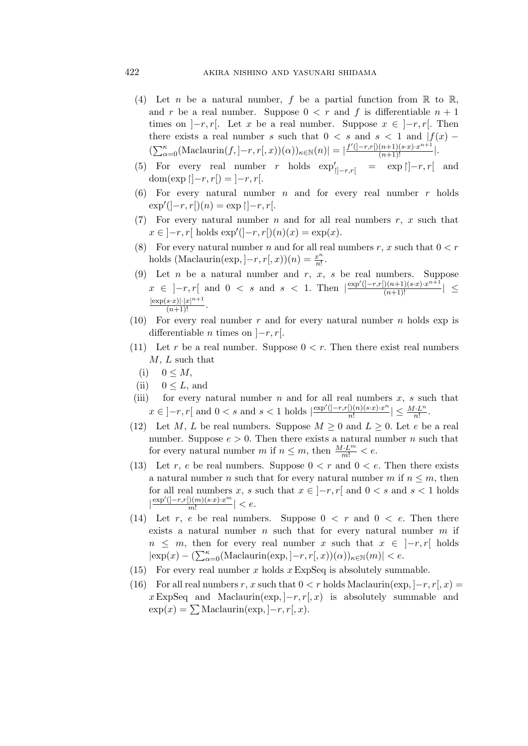## 422 akira nishino and yasunari shidama

- (4) Let n be a natural number, f be a partial function from  $\mathbb R$  to  $\mathbb R$ , and r be a real number. Suppose  $0 < r$  and f is differentiable  $n + 1$ times on  $[-r, r]$ . Let x be a real number. Suppose  $x \in [-r, r]$ . Then there exists a real number s such that  $0 < s$  and  $s < 1$  and  $|f(x) - f(x)|$  $(\sum_{\alpha=0}^{\kappa} ( \text{Maclaurin}(f, ]-r, r[, x))(\alpha))_{\kappa \in \mathbb{N}}(n) | = | \frac{f'(|-r,r[)(n+1)(s\cdot x) \cdot x^{n+1} |}{(n+1)!} |.$
- (5) For every real number r holds  $\exp'_{|]-r,r[}$  =  $\exp|,-r,r[$  and dom(exp  $\vert -r, r \vert = \vert -r, r \vert.$
- (6) For every natural number n and for every real number  $r$  holds  $\exp'([-r, r])|(n) = \exp|[-r, r].$
- (7) For every natural number  $n$  and for all real numbers  $r, x$  such that  $x \in [-r, r[$  holds  $exp'([-r, r[)(n)(x)] = exp(x)$ .
- (8) For every natural number n and for all real numbers r, x such that  $0 < r$ holds (Maclaurin(exp,  $]-r, r[, x$ )) $(n) = \frac{x^n}{n!}$  $rac{x^n}{n!}$ .
- (9) Let *n* be a natural number and *r*, *x*, *s* be real numbers. Suppose  $x \in ]-r,r[$  and 0 < s and s < 1. Then  $\frac{|\exp'(-r,r[)(n+1)(s\cdot x)\cdot x^{n+1}|)}{(n+1)!}$ | ≤  $\frac{|\exp(s \cdot x)| \cdot |x|^{n+1}}{(n+1)!}$ .
- (10) For every real number r and for every natural number n holds  $\exp$  is differentiable *n* times on  $|-r, r|.$
- (11) Let r be a real number. Suppose  $0 < r$ . Then there exist real numbers  $M, L$  such that
	- (i)  $0 \leq M$ ,
	- (ii)  $0 \leq L$ , and
- (iii) for every natural number n and for all real numbers  $x$ , s such that  $x \in [-r, r[$  and  $0 < s$  and  $s < 1$  holds  $\frac{\exp'([-r, r])(n)(sx) \cdot x^n}{n!}$  $\frac{\left[ \right) (n)(s \cdot x) \cdot x^{n}}{n!} \mid \leq \frac{M \cdot L^{n}}{n!}.$
- (12) Let M, L be real numbers. Suppose  $M \geq 0$  and  $L \geq 0$ . Let e be a real number. Suppose  $e > 0$ . Then there exists a natural number *n* such that for every natural number m if  $n \leq m$ , then  $\frac{M \cdot L^m}{m!} < e$ .
- (13) Let r, e be real numbers. Suppose  $0 < r$  and  $0 < e$ . Then there exists a natural number n such that for every natural number m if  $n \leq m$ , then for all real numbers x, s such that  $x \in [-r, r]$  and  $0 < s$  and  $s < 1$  holds  $\left|\frac{\exp'(-r,r[(m)(s\cdot x)\cdot x^m)}{m!}\right| < e.$ m!
- (14) Let r, e be real numbers. Suppose  $0 \lt r$  and  $0 \lt e$ . Then there exists a natural number  $n$  such that for every natural number  $m$  if  $n \leq m$ , then for every real number x such that  $x \in [-r, r]$  holds  $|\exp(x) - (\sum_{\alpha=0}^{\kappa} ( \text{Maclaurin}(\exp, ]-r, r[, x))(\alpha))_{\kappa \in \mathbb{N}}(m)| < e.$
- (15) For every real number x holds  $x \nExpSeq$  is absolutely summable.
- (16) For all real numbers r, x such that  $0 < r$  holds Maclaurin(exp,  $[-r, r], x$ ) =  $x \to x \to \text{ExpSeq}$  and Maclaurin(exp,  $[-r, r(x)]$  is absolutely summable and  $\exp(x) = \sum \text{Maclaurin}(\exp, |-r, r|, x).$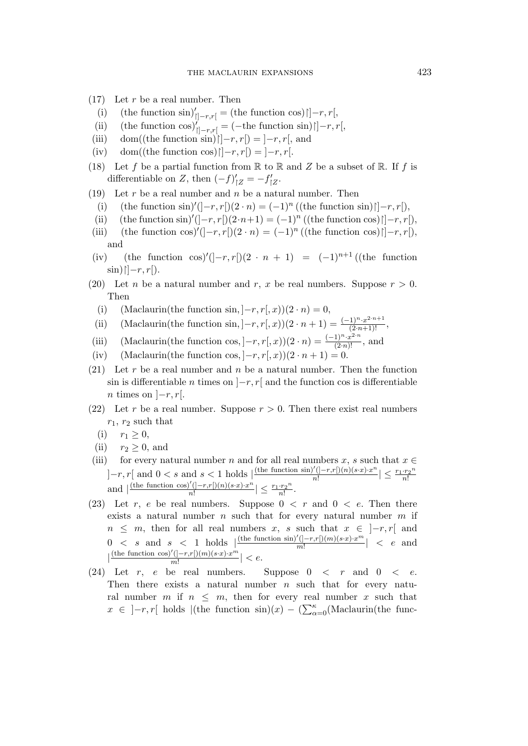- $(17)$  Let r be a real number. Then
	- (i) (the function sin)'<sub> $\vert \vert -r,r \vert$ </sub> = (the function cos) $\vert \vert -r,r \vert$ ,
- (ii) (the function  $\cos Y_{\vert \vert -r,r \vert} = (-\text{the function } \sin) \vert \vert -r,r \vert,$
- (iii) dom((the function sin) $\vert \vert -r, r \vert = \vert -r, r \vert$ , and
- (iv) dom((the function cos) $\vert \vert -r, r \vert = \vert -r, r \vert$ .
- (18) Let f be a partial function from  $\mathbb R$  to  $\mathbb R$  and  $Z$  be a subset of  $\mathbb R$ . If f is differentiable on Z, then  $(-f)'_{|Z} = -f'_{|Z}$ .
- (19) Let r be a real number and n be a natural number. Then
	- (i) (the function sin)'( $]-r, r[$ ) $(2 \cdot n) = (-1)^n$  ((the function sin) $\upharpoonright] -r, r[$ ),
- (ii) (the function sin)'( $]-r, r[$ ) $(2\cdot n+1) = (-1)^n$  ((the function cos) $\upharpoonright] -r, r[$ ),
- (iii) (the function cos)'(]-r, r[)(2 · n) = (-1)<sup>n</sup> ((the function cos) $\vert$ ]-r, r[), and
- (iv) (the function cos)'( $]-r, r[$ )( $2 \cdot n + 1$ ) =  $(-1)^{n+1}$  ((the function  $\sin\frac{\pi}{r}$ |  $-r, r$ |.
- (20) Let *n* be a natural number and *r*, *x* be real numbers. Suppose  $r > 0$ . Then
	- (i) (Maclaurin(the function sin,  $]-r, r[, x$ )(2 · n) = 0,
	- (ii) (Maclaurin(the function sin,  $]-r, r[, x)(2 \cdot n + 1) = \frac{(-1)^n \cdot x^{2 \cdot n + 1}}{(2 \cdot n + 1)!}$ ,
- (iii) (Maclaurin(the function cos,  $]-r, r[, x$ ))(2 · n) =  $\frac{(-1)^n \cdot x^{2 \cdot n}}{(2 \cdot n)!}$ , and
- (iv) (Maclaurin(the function cos,  $]-r, r(x)(2 \cdot n + 1) = 0.$
- (21) Let r be a real number and n be a natural number. Then the function sin is differentiable *n* times on  $\vert -r, r \vert$  and the function cos is differentiable n times on  $|-r, r|.$
- (22) Let r be a real number. Suppose  $r > 0$ . Then there exist real numbers  $r_1, r_2$  such that
	- (i)  $r_1 \geq 0$ ,
- (ii)  $r_2 \geq 0$ , and
- (iii) for every natural number n and for all real numbers x, s such that  $x \in$  $]-r, r[$  and  $0 < s$  and  $s < 1$  holds  $\left| \frac{(\text{the function } \sin)'(-r, r(n)(s \cdot x) \cdot x^n)}{n!} \right|$  $\frac{r'(-r,r[(n)(s\cdot x)\cdot x^n]}{n!} \leq \frac{r_1\cdot r_2^n}{n!}$  $n!$ and  $\left| \frac{(\text{the function } \cos)'(-r,r(n)(s\cdot x)\cdot x^n)}{n!} \right|$  $\frac{n'([-r,r[)(n)(s\cdot x)\cdot x^n]}{n!} \leq \frac{r_1\cdot r_2^n}{n!}$  $\frac{r_2}{n!}$ .
- (23) Let r, e be real numbers. Suppose  $0 \lt r$  and  $0 \lt e$ . Then there exists a natural number  $n$  such that for every natural number  $m$  if  $n \leq m$ , then for all real numbers x, s such that  $x \in [-r, r]$  and  $0 < s$  and  $s < 1$  holds  $\frac{(\text{the function } \sin)'(-r, r \cdot y)(m)(s \cdot x) \cdot x^m}{m!}$  $\frac{(|-r,r|)(m)(s\cdot x)\cdot x^{\cdots}}{m!}$  < e and  $\left| \frac{\text{(the function cos)'}(-r,r(n)(s\cdot x)\cdot x^m}{m!} \right|$  $\frac{(|-r,r|)(m)(s\cdot x)\cdot x^{\cdots}}{m!} \vert < e.$
- (24) Let r, e be real numbers. Suppose  $0 \lt r$  and  $0 \lt e$ . Then there exists a natural number  $n$  such that for every natural number m if  $n \leq m$ , then for every real number x such that  $x \in ]-r,r[$  holds  $|$ (the function sin)(x) – ( $\sum_{\alpha=0}^{\kappa}$ (Maclaurin(the func-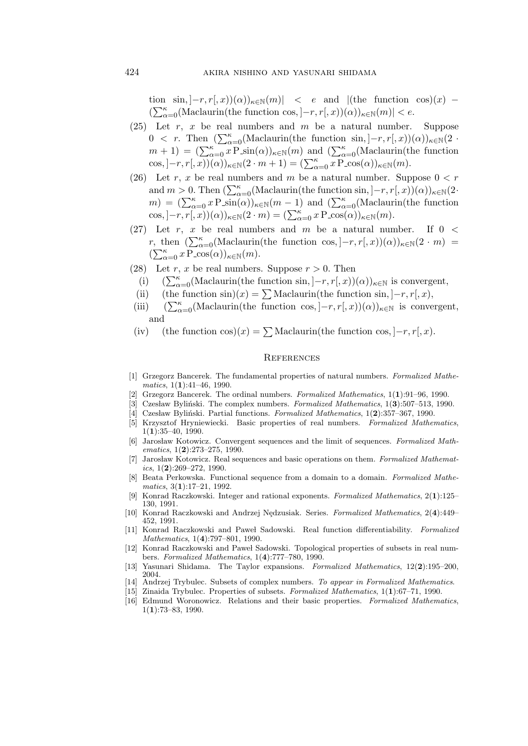tion  $\sin, |-r, r(x)|(\alpha)\rangle_{\kappa\in\mathbb{N}}(m)| < e$  and  $|(\text{the function } \cos)(x)$  $(\sum_{\alpha=0}^{\kappa}(\text{Maclaurin}(\text{the function cos}, ]-r, r[, x))(\alpha))_{\kappa \in \mathbb{N}}(m)| < e.$ 

- (25) Let  $r, x$  be real numbers and  $m$  be a natural number. Suppose 0 < r. Then  $(\sum_{\alpha=0}^{\kappa} (Maclaurin(the function sin, ]-r, r[, x))(\alpha))_{\kappa \in \mathbb{N}}(2 \cdot$  $m + 1$ ) =  $(\sum_{\alpha=0}^{\kappa} x P \sin(\alpha))_{\kappa \in \mathbb{N}}(m)$  and  $(\sum_{\alpha=0}^{\kappa} (Maclaurin(the function$  $(\cos, -r, r(0,))(\alpha))_{\kappa \in \mathbb{N}} (2 \cdot m + 1) = (\sum_{\alpha=0}^{\kappa} x \operatorname{P} \cos(\alpha))_{\kappa \in \mathbb{N}} (m).$
- (26) Let r, x be real numbers and m be a natural number. Suppose  $0 < r$ and  $m > 0$ . Then  $(\sum_{\alpha=0}^{\kappa} (Maclaurin(the\ function\ sin,]-r,r[,x))(\alpha))_{\kappa \in \mathbb{N}}(2 \cdot$  $m) = (\sum_{\alpha=0}^{\kappa} x P \sin(\alpha))_{\kappa \in \mathbb{N}} (m-1)$  and  $(\sum_{\alpha=0}^{\kappa} (Maclaurin(the function$  $(\cos, -r, \overline{r}, \overline{x}))(\alpha)_{\kappa \in \mathbb{N}}(2 \cdot m) = (\sum_{\alpha=0}^{\kappa} x \operatorname{P} \overline{\cos(\alpha)})_{\kappa \in \mathbb{N}}(m).$
- (27) Let r, x be real numbers and m be a natural number. If  $0 <$ r, then  $(\sum_{\alpha=0}^{\kappa} (Maclaurin(the function cos, ]-r, r[, x))(\alpha))_{\kappa \in \mathbb{N}}(2 \cdot m) =$  $(\sum_{\alpha=0}^{\kappa} x \mathop{\rm P}\nolimits_{-\cos(\alpha)})_{\kappa \in \mathbb{N}} (m).$
- (28) Let r, x be real numbers. Suppose  $r > 0$ . Then
- (i)  $(\sum_{\alpha=0}^{\kappa} (Maclaurin(the function sin, ]-r, r[, x))(\alpha))_{\kappa \in \mathbb{N}}$  is convergent,
- (ii) (the function sin)(x) =  $\sum$  Maclaurin(the function sin, ]–r, r[, x),
- (iii)  $(\sum_{\alpha=0}^{\kappa} (Maclaurin(the\ function\ cos, ]-r, r[, x))(\alpha))_{\kappa \in \mathbb{N}}$  is convergent, and
- (iv) (the function cos)(x) =  $\sum$ Maclaurin(the function cos,  $]-r, r[, x$ ).

## **REFERENCES**

- [1] Grzegorz Bancerek. The fundamental properties of natural numbers. Formalized Mathematics,  $1(1):41-46$ , 1990.
- [2] Grzegorz Bancerek. The ordinal numbers. Formalized Mathematics, 1(1):91–96, 1990.
- [3] Czesław Byliński. The complex numbers. Formalized Mathematics, 1(3):507–513, 1990.
- [4] Czesław Byliński. Partial functions. Formalized Mathematics,  $1(2):357-367$ , 1990.
- [5] Krzysztof Hryniewiecki. Basic properties of real numbers. Formalized Mathematics,  $1(1):35-40, 1990.$
- [6] Jarosław Kotowicz. Convergent sequences and the limit of sequences. Formalized Mathematics, 1(2):273–275, 1990.
- [7] Jarosław Kotowicz. Real sequences and basic operations on them. Formalized Mathematics,  $1(2):269-272$ , 1990.
- [8] Beata Perkowska. Functional sequence from a domain to a domain. Formalized Mathe $matics, 3(1):17-21, 1992.$
- [9] Konrad Raczkowski. Integer and rational exponents. Formalized Mathematics, 2(1):125– 130, 1991.
- [10] Konrad Raczkowski and Andrzej Nedzusiak. Series. Formalized Mathematics, 2(4):449– 452, 1991.
- [11] Konrad Raczkowski and Paweł Sadowski. Real function differentiability. Formalized Mathematics, 1(4):797–801, 1990.
- [12] Konrad Raczkowski and Paweł Sadowski. Topological properties of subsets in real numbers. Formalized Mathematics, 1(4):777–780, 1990.
- [13] Yasunari Shidama. The Taylor expansions. Formalized Mathematics, 12(2):195–200, 2004.
- [14] Andrzej Trybulec. Subsets of complex numbers. To appear in Formalized Mathematics.
- [15] Zinaida Trybulec. Properties of subsets. Formalized Mathematics, 1(1):67–71, 1990.
- [16] Edmund Woronowicz. Relations and their basic properties. Formalized Mathematics, 1(1):73–83, 1990.